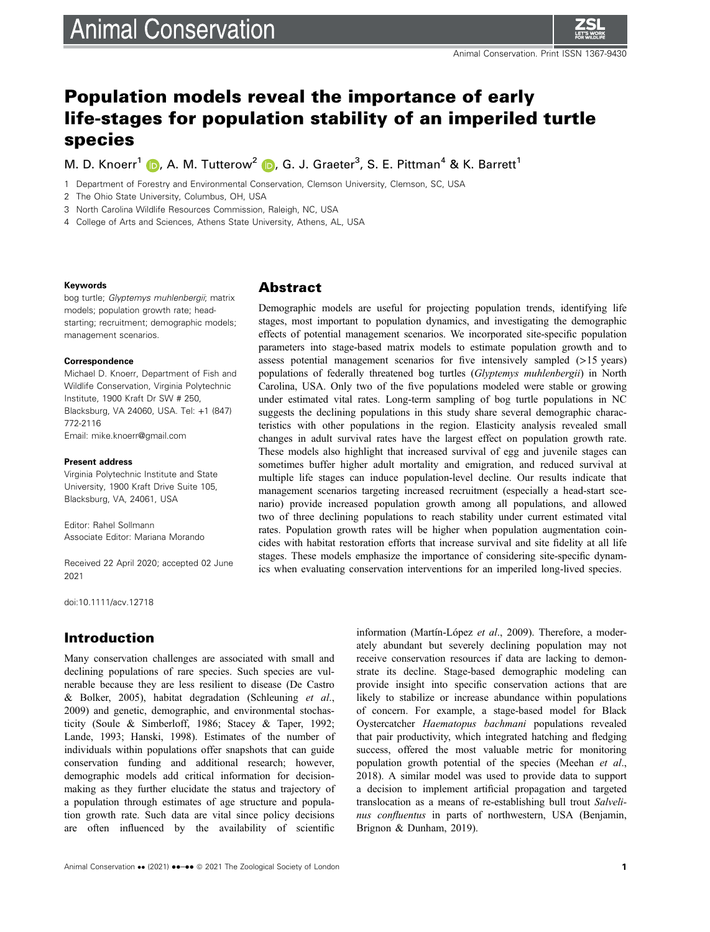# **Animal Conservation**



## Population models reveal the importance of early life-stages for population stability of an imperiled turtle species

M. D. Knoerr<sup>1</sup> (D, A. M. Tutterow<sup>2</sup> (D, G. J. Graeter<sup>3</sup>, S. E. Pittman<sup>4</sup> & K. Barrett<sup>1</sup>

1 Department of Forestry and Environmental Conservation, Clemson University, Clemson, SC, USA

2 The Ohio State University, Columbus, OH, USA

3 North Carolina Wildlife Resources Commission, Raleigh, NC, USA

4 College of Arts and Sciences, Athens State University, Athens, AL, USA

#### Keywords

bog turtle; Glyptemys muhlenbergii; matrix models; population growth rate; headstarting; recruitment; demographic models; management scenarios.

#### **Correspondence**

Michael D. Knoerr, Department of Fish and Wildlife Conservation, Virginia Polytechnic Institute, 1900 Kraft Dr SW # 250, Blacksburg, VA 24060, USA. Tel: +1 (847) 772-2116 Email: [mike.knoerr@gmail.com](mailto:)

#### Present address

Virginia Polytechnic Institute and State University, 1900 Kraft Drive Suite 105, Blacksburg, VA, 24061, USA

Editor: Rahel Sollmann Associate Editor: Mariana Morando

Received 22 April 2020; accepted 02 June 2021

doi:10.1111/acv.12718

## Introduction

Many conservation challenges are associated with small and declining populations of rare species. Such species are vulnerable because they are less resilient to disease (De Castro & Bolker, 2005), habitat degradation (Schleuning et al., 2009) and genetic, demographic, and environmental stochasticity (Soule & Simberloff, 1986; Stacey & Taper, 1992; Lande, 1993; Hanski, 1998). Estimates of the number of individuals within populations offer snapshots that can guide conservation funding and additional research; however, demographic models add critical information for decisionmaking as they further elucidate the status and trajectory of a population through estimates of age structure and population growth rate. Such data are vital since policy decisions are often influenced by the availability of scientific

## Abstract

Demographic models are useful for projecting population trends, identifying life stages, most important to population dynamics, and investigating the demographic effects of potential management scenarios. We incorporated site-specific population parameters into stage-based matrix models to estimate population growth and to assess potential management scenarios for five intensively sampled  $(>15 \text{ years})$ populations of federally threatened bog turtles (Glyptemys muhlenbergii) in North Carolina, USA. Only two of the five populations modeled were stable or growing under estimated vital rates. Long-term sampling of bog turtle populations in NC suggests the declining populations in this study share several demographic characteristics with other populations in the region. Elasticity analysis revealed small changes in adult survival rates have the largest effect on population growth rate. These models also highlight that increased survival of egg and juvenile stages can sometimes buffer higher adult mortality and emigration, and reduced survival at multiple life stages can induce population-level decline. Our results indicate that management scenarios targeting increased recruitment (especially a head-start scenario) provide increased population growth among all populations, and allowed two of three declining populations to reach stability under current estimated vital rates. Population growth rates will be higher when population augmentation coincides with habitat restoration efforts that increase survival and site fidelity at all life stages. These models emphasize the importance of considering site-specific dynamics when evaluating conservation interventions for an imperiled long-lived species.

> information (Martín-López et al., 2009). Therefore, a moderately abundant but severely declining population may not receive conservation resources if data are lacking to demonstrate its decline. Stage-based demographic modeling can provide insight into specific conservation actions that are likely to stabilize or increase abundance within populations of concern. For example, a stage-based model for Black Oystercatcher Haematopus bachmani populations revealed that pair productivity, which integrated hatching and fledging success, offered the most valuable metric for monitoring population growth potential of the species (Meehan et al., 2018). A similar model was used to provide data to support a decision to implement artificial propagation and targeted translocation as a means of re-establishing bull trout Salvelinus confluentus in parts of northwestern, USA (Benjamin, Brignon & Dunham, 2019).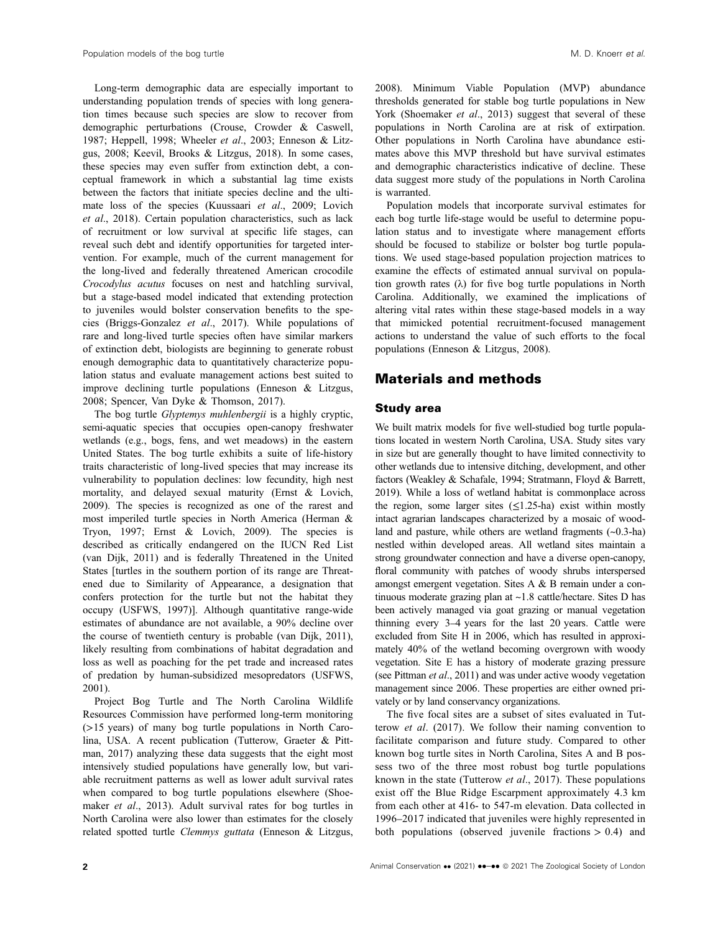Long-term demographic data are especially important to understanding population trends of species with long generation times because such species are slow to recover from demographic perturbations (Crouse, Crowder & Caswell, 1987; Heppell, 1998; Wheeler et al., 2003; Enneson & Litzgus, 2008; Keevil, Brooks & Litzgus, 2018). In some cases, these species may even suffer from extinction debt, a conceptual framework in which a substantial lag time exists between the factors that initiate species decline and the ultimate loss of the species (Kuussaari et al., 2009; Lovich et al., 2018). Certain population characteristics, such as lack of recruitment or low survival at specific life stages, can reveal such debt and identify opportunities for targeted intervention. For example, much of the current management for the long-lived and federally threatened American crocodile Crocodylus acutus focuses on nest and hatchling survival, but a stage-based model indicated that extending protection to juveniles would bolster conservation benefits to the species (Briggs-Gonzalez et al., 2017). While populations of rare and long-lived turtle species often have similar markers of extinction debt, biologists are beginning to generate robust enough demographic data to quantitatively characterize population status and evaluate management actions best suited to improve declining turtle populations (Enneson & Litzgus, 2008; Spencer, Van Dyke & Thomson, 2017).

The bog turtle Glyptemys muhlenbergii is a highly cryptic, semi-aquatic species that occupies open-canopy freshwater wetlands (e.g., bogs, fens, and wet meadows) in the eastern United States. The bog turtle exhibits a suite of life-history traits characteristic of long-lived species that may increase its vulnerability to population declines: low fecundity, high nest mortality, and delayed sexual maturity (Ernst & Lovich, 2009). The species is recognized as one of the rarest and most imperiled turtle species in North America (Herman & Tryon, 1997; Ernst & Lovich, 2009). The species is described as critically endangered on the IUCN Red List (van Dijk, 2011) and is federally Threatened in the United States [turtles in the southern portion of its range are Threatened due to Similarity of Appearance, a designation that confers protection for the turtle but not the habitat they occupy (USFWS, 1997)]. Although quantitative range-wide estimates of abundance are not available, a 90% decline over the course of twentieth century is probable (van Dijk, 2011), likely resulting from combinations of habitat degradation and loss as well as poaching for the pet trade and increased rates of predation by human-subsidized mesopredators (USFWS, 2001).

Project Bog Turtle and The North Carolina Wildlife Resources Commission have performed long-term monitoring (>15 years) of many bog turtle populations in North Carolina, USA. A recent publication (Tutterow, Graeter & Pittman, 2017) analyzing these data suggests that the eight most intensively studied populations have generally low, but variable recruitment patterns as well as lower adult survival rates when compared to bog turtle populations elsewhere (Shoemaker et al., 2013). Adult survival rates for bog turtles in North Carolina were also lower than estimates for the closely related spotted turtle Clemmys guttata (Enneson & Litzgus,

2008). Minimum Viable Population (MVP) abundance thresholds generated for stable bog turtle populations in New York (Shoemaker *et al.*, 2013) suggest that several of these populations in North Carolina are at risk of extirpation. Other populations in North Carolina have abundance estimates above this MVP threshold but have survival estimates and demographic characteristics indicative of decline. These data suggest more study of the populations in North Carolina is warranted.

Population models that incorporate survival estimates for each bog turtle life-stage would be useful to determine population status and to investigate where management efforts should be focused to stabilize or bolster bog turtle populations. We used stage-based population projection matrices to examine the effects of estimated annual survival on population growth rates  $(\lambda)$  for five bog turtle populations in North Carolina. Additionally, we examined the implications of altering vital rates within these stage-based models in a way that mimicked potential recruitment-focused management actions to understand the value of such efforts to the focal populations (Enneson & Litzgus, 2008).

## Materials and methods

#### Study area

We built matrix models for five well-studied bog turtle populations located in western North Carolina, USA. Study sites vary in size but are generally thought to have limited connectivity to other wetlands due to intensive ditching, development, and other factors (Weakley & Schafale, 1994; Stratmann, Floyd & Barrett, 2019). While a loss of wetland habitat is commonplace across the region, some larger sites  $(\leq 1.25$ -ha) exist within mostly intact agrarian landscapes characterized by a mosaic of woodland and pasture, while others are wetland fragments (~0.3-ha) nestled within developed areas. All wetland sites maintain a strong groundwater connection and have a diverse open-canopy, floral community with patches of woody shrubs interspersed amongst emergent vegetation. Sites A & B remain under a continuous moderate grazing plan at ~1.8 cattle/hectare. Sites D has been actively managed via goat grazing or manual vegetation thinning every 3–4 years for the last 20 years. Cattle were excluded from Site H in 2006, which has resulted in approximately 40% of the wetland becoming overgrown with woody vegetation. Site E has a history of moderate grazing pressure (see Pittman et al., 2011) and was under active woody vegetation management since 2006. These properties are either owned privately or by land conservancy organizations.

The five focal sites are a subset of sites evaluated in Tutterow et al. (2017). We follow their naming convention to facilitate comparison and future study. Compared to other known bog turtle sites in North Carolina, Sites A and B possess two of the three most robust bog turtle populations known in the state (Tutterow et al., 2017). These populations exist off the Blue Ridge Escarpment approximately 4.3 km from each other at 416- to 547-m elevation. Data collected in 1996–2017 indicated that juveniles were highly represented in both populations (observed juvenile fractions  $> 0.4$ ) and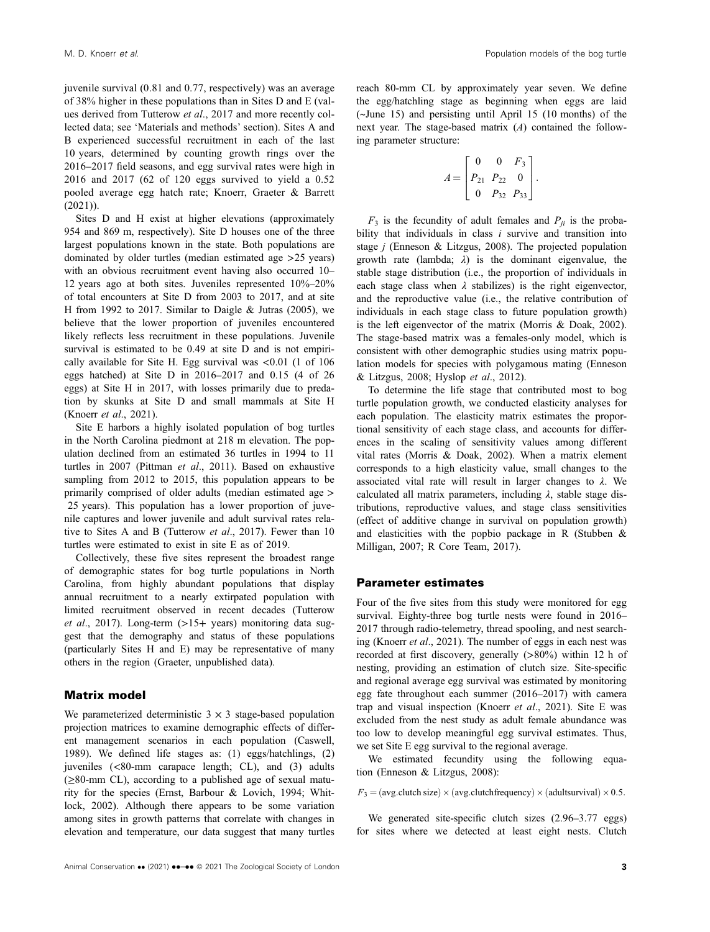juvenile survival (0.81 and 0.77, respectively) was an average of 38% higher in these populations than in Sites D and E (values derived from Tutterow et al., 2017 and more recently collected data; see 'Materials and methods' section). Sites A and B experienced successful recruitment in each of the last 10 years, determined by counting growth rings over the 2016–2017 field seasons, and egg survival rates were high in 2016 and 2017 (62 of 120 eggs survived to yield a 0.52 pooled average egg hatch rate; Knoerr, Graeter & Barrett  $(2021)$ ).

Sites D and H exist at higher elevations (approximately 954 and 869 m, respectively). Site D houses one of the three largest populations known in the state. Both populations are dominated by older turtles (median estimated age >25 years) with an obvious recruitment event having also occurred 10– 12 years ago at both sites. Juveniles represented 10%–20% of total encounters at Site D from 2003 to 2017, and at site H from 1992 to 2017. Similar to Daigle & Jutras (2005), we believe that the lower proportion of juveniles encountered likely reflects less recruitment in these populations. Juvenile survival is estimated to be 0.49 at site D and is not empirically available for Site H. Egg survival was <0.01 (1 of 106 eggs hatched) at Site D in 2016–2017 and 0.15 (4 of 26 eggs) at Site H in 2017, with losses primarily due to predation by skunks at Site D and small mammals at Site H (Knoerr et al., 2021).

Site E harbors a highly isolated population of bog turtles in the North Carolina piedmont at 218 m elevation. The population declined from an estimated 36 turtles in 1994 to 11 turtles in 2007 (Pittman et al., 2011). Based on exhaustive sampling from 2012 to 2015, this population appears to be primarily comprised of older adults (median estimated age > 25 years). This population has a lower proportion of juvenile captures and lower juvenile and adult survival rates relative to Sites A and B (Tutterow et al., 2017). Fewer than 10 turtles were estimated to exist in site E as of 2019.

Collectively, these five sites represent the broadest range of demographic states for bog turtle populations in North Carolina, from highly abundant populations that display annual recruitment to a nearly extirpated population with limited recruitment observed in recent decades (Tutterow et al., 2017). Long-term  $(>15+$  years) monitoring data suggest that the demography and status of these populations (particularly Sites H and E) may be representative of many others in the region (Graeter, unpublished data).

#### Matrix model

We parameterized deterministic  $3 \times 3$  stage-based population projection matrices to examine demographic effects of different management scenarios in each population (Caswell, 1989). We defined life stages as: (1) eggs/hatchlings, (2) juveniles (<80-mm carapace length; CL), and (3) adults  $(\geq 80$ -mm CL), according to a published age of sexual maturity for the species (Ernst, Barbour & Lovich, 1994; Whitlock, 2002). Although there appears to be some variation among sites in growth patterns that correlate with changes in elevation and temperature, our data suggest that many turtles reach 80-mm CL by approximately year seven. We define the egg/hatchling stage as beginning when eggs are laid (~June 15) and persisting until April 15 (10 months) of the next year. The stage-based matrix  $(A)$  contained the following parameter structure:

$$
A = \begin{bmatrix} 0 & 0 & F_3 \\ P_{21} & P_{22} & 0 \\ 0 & P_{32} & P_{33} \end{bmatrix}.
$$

 $F_3$  is the fecundity of adult females and  $P_{ii}$  is the probability that individuals in class  $i$  survive and transition into stage  $j$  (Enneson & Litzgus, 2008). The projected population growth rate (lambda;  $\lambda$ ) is the dominant eigenvalue, the stable stage distribution (i.e., the proportion of individuals in each stage class when  $\lambda$  stabilizes) is the right eigenvector, and the reproductive value (i.e., the relative contribution of individuals in each stage class to future population growth) is the left eigenvector of the matrix (Morris & Doak, 2002). The stage-based matrix was a females-only model, which is consistent with other demographic studies using matrix population models for species with polygamous mating (Enneson & Litzgus, 2008; Hyslop et al., 2012).

To determine the life stage that contributed most to bog turtle population growth, we conducted elasticity analyses for each population. The elasticity matrix estimates the proportional sensitivity of each stage class, and accounts for differences in the scaling of sensitivity values among different vital rates (Morris & Doak, 2002). When a matrix element corresponds to a high elasticity value, small changes to the associated vital rate will result in larger changes to  $\lambda$ . We calculated all matrix parameters, including  $\lambda$ , stable stage distributions, reproductive values, and stage class sensitivities (effect of additive change in survival on population growth) and elasticities with the popbio package in R (Stubben & Milligan, 2007; R Core Team, 2017).

#### Parameter estimates

Four of the five sites from this study were monitored for egg survival. Eighty-three bog turtle nests were found in 2016– 2017 through radio-telemetry, thread spooling, and nest searching (Knoerr et al., 2021). The number of eggs in each nest was recorded at first discovery, generally (>80%) within 12 h of nesting, providing an estimation of clutch size. Site-specific and regional average egg survival was estimated by monitoring egg fate throughout each summer (2016–2017) with camera trap and visual inspection (Knoerr et al., 2021). Site E was excluded from the nest study as adult female abundance was too low to develop meaningful egg survival estimates. Thus, we set Site E egg survival to the regional average.

We estimated fecundity using the following equation (Enneson & Litzgus, 2008):

 $F_3 = (avg. clutch size) \times (avg. clutch frequency) \times (adultsurvival) \times 0.5.$ 

We generated site-specific clutch sizes (2.96–3.77 eggs) for sites where we detected at least eight nests. Clutch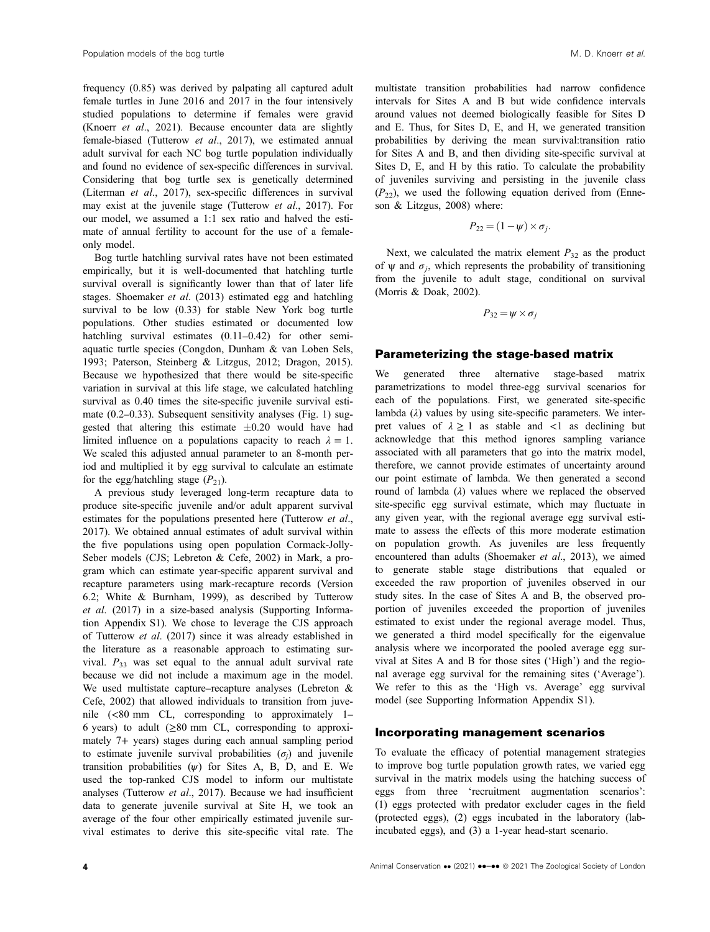frequency (0.85) was derived by palpating all captured adult female turtles in June 2016 and 2017 in the four intensively studied populations to determine if females were gravid (Knoerr et al., 2021). Because encounter data are slightly female-biased (Tutterow et al., 2017), we estimated annual adult survival for each NC bog turtle population individually and found no evidence of sex-specific differences in survival. Considering that bog turtle sex is genetically determined (Literman et al., 2017), sex-specific differences in survival may exist at the juvenile stage (Tutterow *et al.*, 2017). For our model, we assumed a 1:1 sex ratio and halved the estimate of annual fertility to account for the use of a femaleonly model.

Bog turtle hatchling survival rates have not been estimated empirically, but it is well-documented that hatchling turtle survival overall is significantly lower than that of later life stages. Shoemaker et al. (2013) estimated egg and hatchling survival to be low (0.33) for stable New York bog turtle populations. Other studies estimated or documented low hatchling survival estimates  $(0.11-0.42)$  for other semiaquatic turtle species (Congdon, Dunham & van Loben Sels, 1993; Paterson, Steinberg & Litzgus, 2012; Dragon, 2015). Because we hypothesized that there would be site-specific variation in survival at this life stage, we calculated hatchling survival as 0.40 times the site-specific juvenile survival estimate (0.2–0.33). Subsequent sensitivity analyses (Fig. 1) suggested that altering this estimate  $\pm 0.20$  would have had limited influence on a populations capacity to reach  $\lambda = 1$ . We scaled this adjusted annual parameter to an 8-month period and multiplied it by egg survival to calculate an estimate for the egg/hatchling stage  $(P_{21})$ .

A previous study leveraged long-term recapture data to produce site-specific juvenile and/or adult apparent survival estimates for the populations presented here (Tutterow et al., 2017). We obtained annual estimates of adult survival within the five populations using open population Cormack-Jolly-Seber models (CJS; Lebreton & Cefe, 2002) in Mark, a program which can estimate year-specific apparent survival and recapture parameters using mark-recapture records (Version 6.2; White & Burnham, 1999), as described by Tutterow et al. (2017) in a size-based analysis (Supporting Information Appendix S1). We chose to leverage the CJS approach of Tutterow et al. (2017) since it was already established in the literature as a reasonable approach to estimating survival.  $P_{33}$  was set equal to the annual adult survival rate because we did not include a maximum age in the model. We used multistate capture–recapture analyses (Lebreton & Cefe, 2002) that allowed individuals to transition from juvenile (<80 mm CL, corresponding to approximately 1– 6 years) to adult  $(\geq 80$  mm CL, corresponding to approximately 7+ years) stages during each annual sampling period to estimate juvenile survival probabilities  $(\sigma_i)$  and juvenile transition probabilities  $(\psi)$  for Sites A, B, D, and E. We used the top-ranked CJS model to inform our multistate analyses (Tutterow et al., 2017). Because we had insufficient data to generate juvenile survival at Site H, we took an average of the four other empirically estimated juvenile survival estimates to derive this site-specific vital rate. The multistate transition probabilities had narrow confidence intervals for Sites A and B but wide confidence intervals around values not deemed biologically feasible for Sites D and E. Thus, for Sites D, E, and H, we generated transition probabilities by deriving the mean survival:transition ratio for Sites A and B, and then dividing site-specific survival at Sites D, E, and H by this ratio. To calculate the probability of juveniles surviving and persisting in the juvenile class  $(P_{22})$ , we used the following equation derived from (Enneson & Litzgus, 2008) where:

$$
P_{22}=(1-\psi)\times\sigma_j.
$$

Next, we calculated the matrix element  $P_{32}$  as the product of  $\psi$  and  $\sigma_i$ , which represents the probability of transitioning from the juvenile to adult stage, conditional on survival (Morris & Doak, 2002).

 $P_{32} = \psi \times \sigma_i$ 

#### Parameterizing the stage-based matrix

We generated three alternative stage-based matrix parametrizations to model three-egg survival scenarios for each of the populations. First, we generated site-specific lambda  $(\lambda)$  values by using site-specific parameters. We interpret values of  $\lambda \geq 1$  as stable and  $\langle 1 \rangle$  as declining but acknowledge that this method ignores sampling variance associated with all parameters that go into the matrix model, therefore, we cannot provide estimates of uncertainty around our point estimate of lambda. We then generated a second round of lambda  $(\lambda)$  values where we replaced the observed site-specific egg survival estimate, which may fluctuate in any given year, with the regional average egg survival estimate to assess the effects of this more moderate estimation on population growth. As juveniles are less frequently encountered than adults (Shoemaker et al., 2013), we aimed to generate stable stage distributions that equaled or exceeded the raw proportion of juveniles observed in our study sites. In the case of Sites A and B, the observed proportion of juveniles exceeded the proportion of juveniles estimated to exist under the regional average model. Thus, we generated a third model specifically for the eigenvalue analysis where we incorporated the pooled average egg survival at Sites A and B for those sites ('High') and the regional average egg survival for the remaining sites ('Average'). We refer to this as the 'High vs. Average' egg survival model (see Supporting Information Appendix S1).

#### Incorporating management scenarios

To evaluate the efficacy of potential management strategies to improve bog turtle population growth rates, we varied egg survival in the matrix models using the hatching success of eggs from three 'recruitment augmentation scenarios': (1) eggs protected with predator excluder cages in the field (protected eggs), (2) eggs incubated in the laboratory (labincubated eggs), and (3) a 1-year head-start scenario.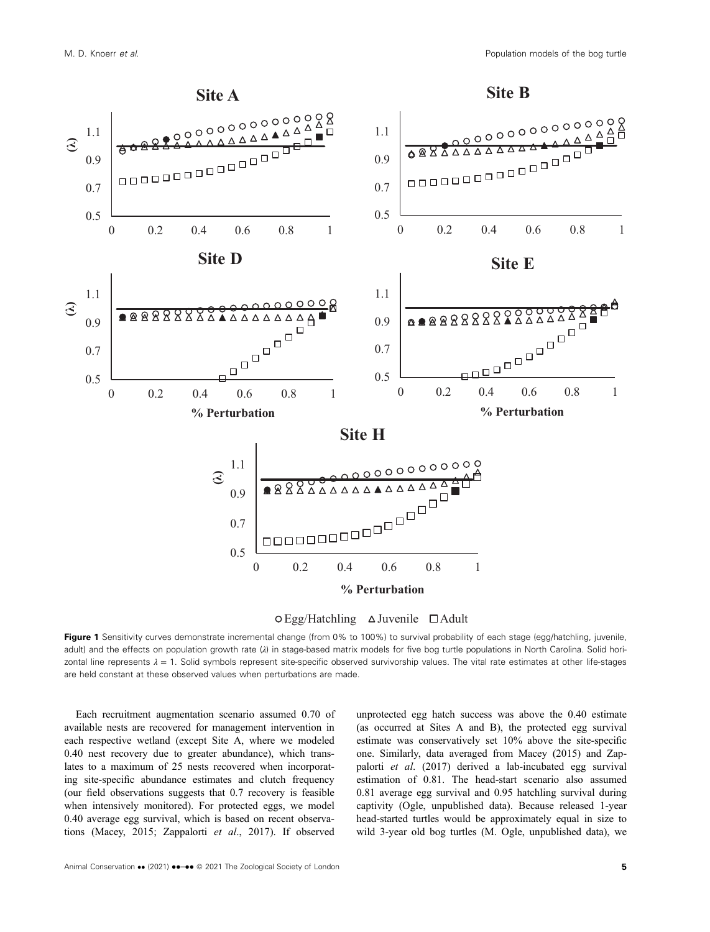



 $\circ$  Egg/Hatchling  $\triangle$  Juvenile  $\Box$  Adult

Figure 1 Sensitivity curves demonstrate incremental change (from 0% to 100%) to survival probability of each stage (egg/hatchling, juvenile, adult) and the effects on population growth rate (λ) in stage-based matrix models for five bog turtle populations in North Carolina. Solid horizontal line represents  $\lambda = 1$ . Solid symbols represent site-specific observed survivorship values. The vital rate estimates at other life-stages are held constant at these observed values when perturbations are made.

Each recruitment augmentation scenario assumed 0.70 of available nests are recovered for management intervention in each respective wetland (except Site A, where we modeled 0.40 nest recovery due to greater abundance), which translates to a maximum of 25 nests recovered when incorporating site-specific abundance estimates and clutch frequency (our field observations suggests that 0.7 recovery is feasible when intensively monitored). For protected eggs, we model 0.40 average egg survival, which is based on recent observations (Macey, 2015; Zappalorti et al., 2017). If observed

unprotected egg hatch success was above the 0.40 estimate (as occurred at Sites A and B), the protected egg survival estimate was conservatively set 10% above the site-specific one. Similarly, data averaged from Macey (2015) and Zappalorti et al. (2017) derived a lab-incubated egg survival estimation of 0.81. The head-start scenario also assumed 0.81 average egg survival and 0.95 hatchling survival during captivity (Ogle, unpublished data). Because released 1-year head-started turtles would be approximately equal in size to wild 3-year old bog turtles (M. Ogle, unpublished data), we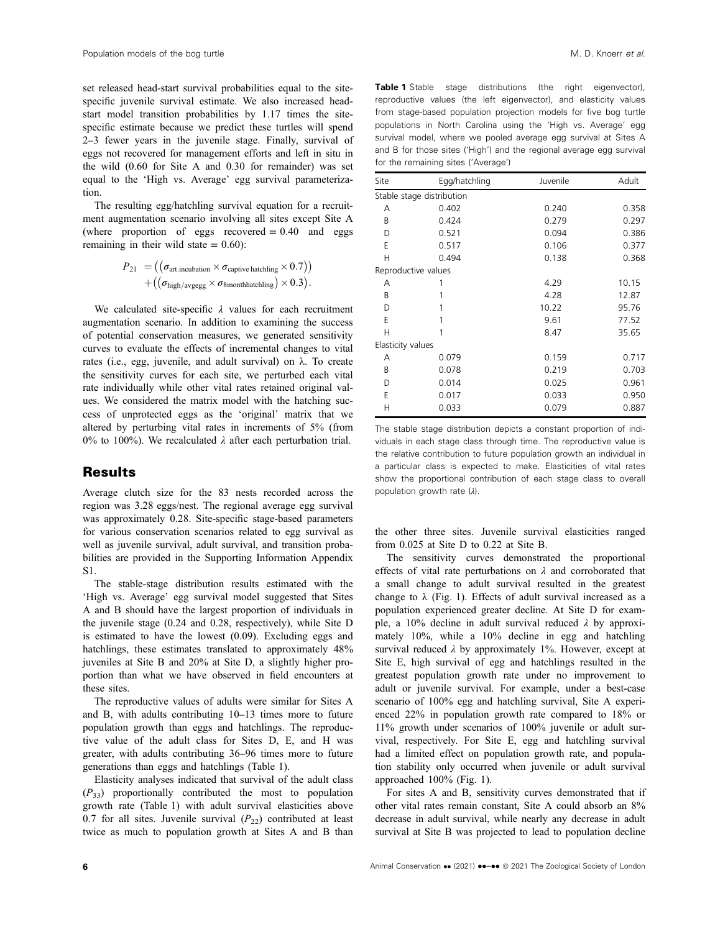set released head-start survival probabilities equal to the sitespecific juvenile survival estimate. We also increased headstart model transition probabilities by 1.17 times the sitespecific estimate because we predict these turtles will spend 2–3 fewer years in the juvenile stage. Finally, survival of eggs not recovered for management efforts and left in situ in the wild (0.60 for Site A and 0.30 for remainder) was set equal to the 'High vs. Average' egg survival parameterization.

The resulting egg/hatchling survival equation for a recruitment augmentation scenario involving all sites except Site A (where proportion of eggs recovered  $= 0.40$  and eggs remaining in their wild state  $= 0.60$ :

$$
P_{21} = ((\sigma_{\text{art.incubation}} \times \sigma_{\text{capture hatching}} \times 0.7)) + ((\sigma_{\text{high/avgegg}} \times \sigma_{\text{Smoothhatching}}) \times 0.3).
$$

We calculated site-specific  $\lambda$  values for each recruitment augmentation scenario. In addition to examining the success of potential conservation measures, we generated sensitivity curves to evaluate the effects of incremental changes to vital rates (i.e., egg, juvenile, and adult survival) on λ. To create the sensitivity curves for each site, we perturbed each vital rate individually while other vital rates retained original values. We considered the matrix model with the hatching success of unprotected eggs as the 'original' matrix that we altered by perturbing vital rates in increments of 5% (from 0% to 100%). We recalculated  $\lambda$  after each perturbation trial.

### **Results**

Average clutch size for the 83 nests recorded across the region was 3.28 eggs/nest. The regional average egg survival was approximately 0.28. Site-specific stage-based parameters for various conservation scenarios related to egg survival as well as juvenile survival, adult survival, and transition probabilities are provided in the Supporting Information Appendix S1.

The stable-stage distribution results estimated with the 'High vs. Average' egg survival model suggested that Sites A and B should have the largest proportion of individuals in the juvenile stage (0.24 and 0.28, respectively), while Site D is estimated to have the lowest (0.09). Excluding eggs and hatchlings, these estimates translated to approximately 48% juveniles at Site B and 20% at Site D, a slightly higher proportion than what we have observed in field encounters at these sites.

The reproductive values of adults were similar for Sites A and B, with adults contributing 10–13 times more to future population growth than eggs and hatchlings. The reproductive value of the adult class for Sites D, E, and H was greater, with adults contributing 36–96 times more to future generations than eggs and hatchlings (Table 1).

Elasticity analyses indicated that survival of the adult class  $(P_{33})$  proportionally contributed the most to population growth rate (Table 1) with adult survival elasticities above 0.7 for all sites. Juvenile survival  $(P_{22})$  contributed at least twice as much to population growth at Sites A and B than

Table 1 Stable stage distributions (the right eigenvector), reproductive values (the left eigenvector), and elasticity values from stage-based population projection models for five bog turtle populations in North Carolina using the 'High vs. Average' egg survival model, where we pooled average egg survival at Sites A and B for those sites ('High') and the regional average egg survival for the remaining sites ('Average')

| Site                | Egg/hatchling             | Juvenile | Adult |
|---------------------|---------------------------|----------|-------|
|                     | Stable stage distribution |          |       |
| А                   | 0.402                     | 0.240    | 0.358 |
| B                   | 0.424                     | 0.279    | 0.297 |
| D                   | 0.521                     | 0.094    | 0.386 |
| E                   | 0.517                     | 0.106    | 0.377 |
| Н                   | 0.494                     | 0.138    | 0.368 |
| Reproductive values |                           |          |       |
| Α                   |                           | 4.29     | 10.15 |
| B                   | 1                         | 4.28     | 12.87 |
| D                   |                           | 10.22    | 95.76 |
| E                   |                           | 9.61     | 77.52 |
| Н                   |                           | 8.47     | 35.65 |
| Elasticity values   |                           |          |       |
| Α                   | 0.079                     | 0.159    | 0.717 |
| B                   | 0.078                     | 0.219    | 0.703 |
| D                   | 0.014                     | 0.025    | 0.961 |
| E                   | 0.017                     | 0.033    | 0.950 |
| Н                   | 0.033                     | 0.079    | 0.887 |

The stable stage distribution depicts a constant proportion of individuals in each stage class through time. The reproductive value is the relative contribution to future population growth an individual in a particular class is expected to make. Elasticities of vital rates show the proportional contribution of each stage class to overall population growth rate (λ).

the other three sites. Juvenile survival elasticities ranged from 0.025 at Site D to 0.22 at Site B.

The sensitivity curves demonstrated the proportional effects of vital rate perturbations on  $\lambda$  and corroborated that a small change to adult survival resulted in the greatest change to  $\lambda$  (Fig. 1). Effects of adult survival increased as a population experienced greater decline. At Site D for example, a  $10\%$  decline in adult survival reduced  $\lambda$  by approximately 10%, while a 10% decline in egg and hatchling survival reduced  $\lambda$  by approximately 1%. However, except at Site E, high survival of egg and hatchlings resulted in the greatest population growth rate under no improvement to adult or juvenile survival. For example, under a best-case scenario of 100% egg and hatchling survival, Site A experienced 22% in population growth rate compared to 18% or 11% growth under scenarios of 100% juvenile or adult survival, respectively. For Site E, egg and hatchling survival had a limited effect on population growth rate, and population stability only occurred when juvenile or adult survival approached 100% (Fig. 1).

For sites A and B, sensitivity curves demonstrated that if other vital rates remain constant, Site A could absorb an 8% decrease in adult survival, while nearly any decrease in adult survival at Site B was projected to lead to population decline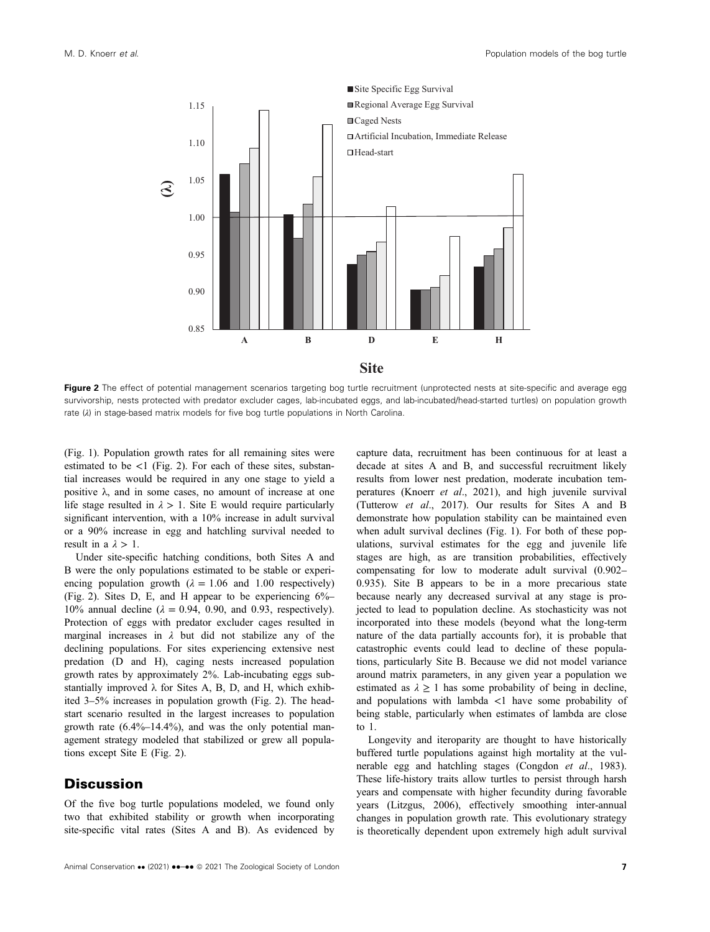

Figure 2 The effect of potential management scenarios targeting bog turtle recruitment (unprotected nests at site-specific and average egg survivorship, nests protected with predator excluder cages, lab-incubated eggs, and lab-incubated/head-started turtles) on population growth rate (λ) in stage-based matrix models for five bog turtle populations in North Carolina.

(Fig. 1). Population growth rates for all remaining sites were estimated to be  $\lt 1$  (Fig. 2). For each of these sites, substantial increases would be required in any one stage to yield a positive  $\lambda$ , and in some cases, no amount of increase at one life stage resulted in  $\lambda > 1$ . Site E would require particularly significant intervention, with a 10% increase in adult survival or a 90% increase in egg and hatchling survival needed to result in a  $\lambda > 1$ .

Under site-specific hatching conditions, both Sites A and B were the only populations estimated to be stable or experiencing population growth ( $\lambda = 1.06$  and 1.00 respectively) (Fig. 2). Sites D, E, and H appear to be experiencing 6%– 10% annual decline ( $\lambda = 0.94$ , 0.90, and 0.93, respectively). Protection of eggs with predator excluder cages resulted in marginal increases in  $\lambda$  but did not stabilize any of the declining populations. For sites experiencing extensive nest predation (D and H), caging nests increased population growth rates by approximately 2%. Lab-incubating eggs substantially improved  $\lambda$  for Sites A, B, D, and H, which exhibited 3–5% increases in population growth (Fig. 2). The headstart scenario resulted in the largest increases to population growth rate (6.4%–14.4%), and was the only potential management strategy modeled that stabilized or grew all populations except Site E (Fig. 2).

## **Discussion**

Of the five bog turtle populations modeled, we found only two that exhibited stability or growth when incorporating site-specific vital rates (Sites A and B). As evidenced by

Animal Conservation •• (2021) •• –•• © 2021 The Zoological Society of London 7

capture data, recruitment has been continuous for at least a decade at sites A and B, and successful recruitment likely results from lower nest predation, moderate incubation temperatures (Knoerr et al., 2021), and high juvenile survival (Tutterow et al., 2017). Our results for Sites A and B demonstrate how population stability can be maintained even when adult survival declines (Fig. 1). For both of these populations, survival estimates for the egg and juvenile life stages are high, as are transition probabilities, effectively compensating for low to moderate adult survival (0.902– 0.935). Site B appears to be in a more precarious state because nearly any decreased survival at any stage is projected to lead to population decline. As stochasticity was not incorporated into these models (beyond what the long-term nature of the data partially accounts for), it is probable that catastrophic events could lead to decline of these populations, particularly Site B. Because we did not model variance around matrix parameters, in any given year a population we estimated as  $\lambda \geq 1$  has some probability of being in decline, and populations with lambda  $\lt 1$  have some probability of being stable, particularly when estimates of lambda are close to 1.

Longevity and iteroparity are thought to have historically buffered turtle populations against high mortality at the vulnerable egg and hatchling stages (Congdon et al., 1983). These life-history traits allow turtles to persist through harsh years and compensate with higher fecundity during favorable years (Litzgus, 2006), effectively smoothing inter-annual changes in population growth rate. This evolutionary strategy is theoretically dependent upon extremely high adult survival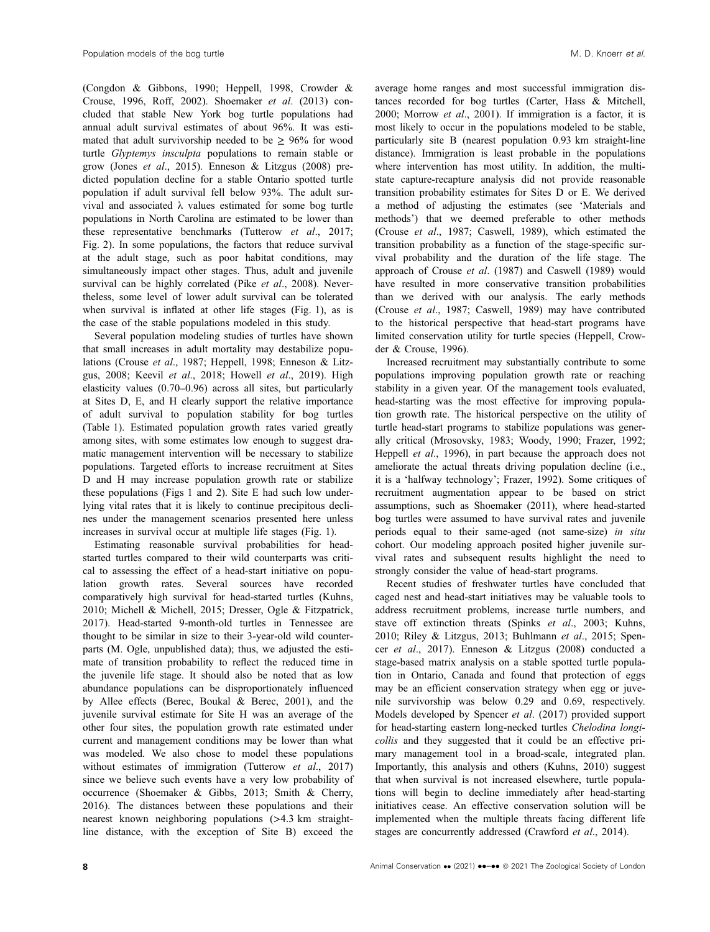(Congdon & Gibbons, 1990; Heppell, 1998, Crowder & Crouse, 1996, Roff, 2002). Shoemaker et al. (2013) concluded that stable New York bog turtle populations had annual adult survival estimates of about 96%. It was estimated that adult survivorship needed to be  $\geq 96\%$  for wood turtle Glyptemys insculpta populations to remain stable or grow (Jones et al., 2015). Enneson & Litzgus (2008) predicted population decline for a stable Ontario spotted turtle population if adult survival fell below 93%. The adult survival and associated λ values estimated for some bog turtle populations in North Carolina are estimated to be lower than these representative benchmarks (Tutterow et al., 2017; Fig. 2). In some populations, the factors that reduce survival at the adult stage, such as poor habitat conditions, may simultaneously impact other stages. Thus, adult and juvenile survival can be highly correlated (Pike et al., 2008). Nevertheless, some level of lower adult survival can be tolerated when survival is inflated at other life stages (Fig. 1), as is the case of the stable populations modeled in this study.

Several population modeling studies of turtles have shown that small increases in adult mortality may destabilize populations (Crouse et al., 1987; Heppell, 1998; Enneson & Litzgus, 2008; Keevil et al., 2018; Howell et al., 2019). High elasticity values (0.70–0.96) across all sites, but particularly at Sites D, E, and H clearly support the relative importance of adult survival to population stability for bog turtles (Table 1). Estimated population growth rates varied greatly among sites, with some estimates low enough to suggest dramatic management intervention will be necessary to stabilize populations. Targeted efforts to increase recruitment at Sites D and H may increase population growth rate or stabilize these populations (Figs 1 and 2). Site E had such low underlying vital rates that it is likely to continue precipitous declines under the management scenarios presented here unless increases in survival occur at multiple life stages (Fig. 1).

Estimating reasonable survival probabilities for headstarted turtles compared to their wild counterparts was critical to assessing the effect of a head-start initiative on population growth rates. Several sources have recorded comparatively high survival for head-started turtles (Kuhns, 2010; Michell & Michell, 2015; Dresser, Ogle & Fitzpatrick, 2017). Head-started 9-month-old turtles in Tennessee are thought to be similar in size to their 3-year-old wild counterparts (M. Ogle, unpublished data); thus, we adjusted the estimate of transition probability to reflect the reduced time in the juvenile life stage. It should also be noted that as low abundance populations can be disproportionately influenced by Allee effects (Berec, Boukal & Berec, 2001), and the juvenile survival estimate for Site H was an average of the other four sites, the population growth rate estimated under current and management conditions may be lower than what was modeled. We also chose to model these populations without estimates of immigration (Tutterow et al., 2017) since we believe such events have a very low probability of occurrence (Shoemaker & Gibbs, 2013; Smith & Cherry, 2016). The distances between these populations and their nearest known neighboring populations (>4.3 km straightline distance, with the exception of Site B) exceed the average home ranges and most successful immigration distances recorded for bog turtles (Carter, Hass & Mitchell, 2000; Morrow et al., 2001). If immigration is a factor, it is most likely to occur in the populations modeled to be stable, particularly site B (nearest population 0.93 km straight-line distance). Immigration is least probable in the populations where intervention has most utility. In addition, the multistate capture-recapture analysis did not provide reasonable transition probability estimates for Sites D or E. We derived a method of adjusting the estimates (see 'Materials and methods') that we deemed preferable to other methods (Crouse et al., 1987; Caswell, 1989), which estimated the transition probability as a function of the stage-specific survival probability and the duration of the life stage. The approach of Crouse et al. (1987) and Caswell (1989) would have resulted in more conservative transition probabilities than we derived with our analysis. The early methods (Crouse et al., 1987; Caswell, 1989) may have contributed to the historical perspective that head-start programs have limited conservation utility for turtle species (Heppell, Crowder & Crouse, 1996).

Increased recruitment may substantially contribute to some populations improving population growth rate or reaching stability in a given year. Of the management tools evaluated, head-starting was the most effective for improving population growth rate. The historical perspective on the utility of turtle head-start programs to stabilize populations was generally critical (Mrosovsky, 1983; Woody, 1990; Frazer, 1992; Heppell et al., 1996), in part because the approach does not ameliorate the actual threats driving population decline (i.e., it is a 'halfway technology'; Frazer, 1992). Some critiques of recruitment augmentation appear to be based on strict assumptions, such as Shoemaker (2011), where head-started bog turtles were assumed to have survival rates and juvenile periods equal to their same-aged (not same-size) in situ cohort. Our modeling approach posited higher juvenile survival rates and subsequent results highlight the need to strongly consider the value of head-start programs.

Recent studies of freshwater turtles have concluded that caged nest and head-start initiatives may be valuable tools to address recruitment problems, increase turtle numbers, and stave off extinction threats (Spinks et al., 2003; Kuhns, 2010; Riley & Litzgus, 2013; Buhlmann et al., 2015; Spencer et al., 2017). Enneson & Litzgus (2008) conducted a stage-based matrix analysis on a stable spotted turtle population in Ontario, Canada and found that protection of eggs may be an efficient conservation strategy when egg or juvenile survivorship was below 0.29 and 0.69, respectively. Models developed by Spencer et al. (2017) provided support for head-starting eastern long-necked turtles Chelodina longicollis and they suggested that it could be an effective primary management tool in a broad-scale, integrated plan. Importantly, this analysis and others (Kuhns, 2010) suggest that when survival is not increased elsewhere, turtle populations will begin to decline immediately after head-starting initiatives cease. An effective conservation solution will be implemented when the multiple threats facing different life stages are concurrently addressed (Crawford et al., 2014).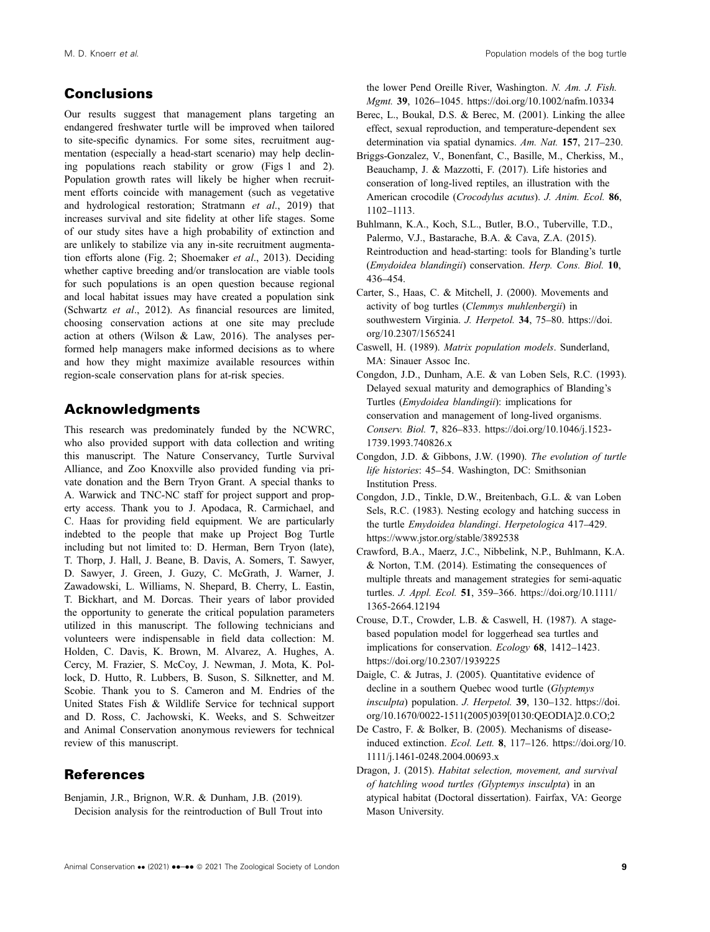## Conclusions

Our results suggest that management plans targeting an endangered freshwater turtle will be improved when tailored to site-specific dynamics. For some sites, recruitment augmentation (especially a head-start scenario) may help declining populations reach stability or grow (Figs 1 and 2). Population growth rates will likely be higher when recruitment efforts coincide with management (such as vegetative and hydrological restoration; Stratmann et al., 2019) that increases survival and site fidelity at other life stages. Some of our study sites have a high probability of extinction and are unlikely to stabilize via any in-site recruitment augmentation efforts alone (Fig. 2; Shoemaker et al., 2013). Deciding whether captive breeding and/or translocation are viable tools for such populations is an open question because regional and local habitat issues may have created a population sink (Schwartz et al., 2012). As financial resources are limited, choosing conservation actions at one site may preclude action at others (Wilson & Law, 2016). The analyses performed help managers make informed decisions as to where and how they might maximize available resources within region-scale conservation plans for at-risk species.

## Acknowledgments

This research was predominately funded by the NCWRC, who also provided support with data collection and writing this manuscript. The Nature Conservancy, Turtle Survival Alliance, and Zoo Knoxville also provided funding via private donation and the Bern Tryon Grant. A special thanks to A. Warwick and TNC-NC staff for project support and property access. Thank you to J. Apodaca, R. Carmichael, and C. Haas for providing field equipment. We are particularly indebted to the people that make up Project Bog Turtle including but not limited to: D. Herman, Bern Tryon (late), T. Thorp, J. Hall, J. Beane, B. Davis, A. Somers, T. Sawyer, D. Sawyer, J. Green, J. Guzy, C. McGrath, J. Warner, J. Zawadowski, L. Williams, N. Shepard, B. Cherry, L. Eastin, T. Bickhart, and M. Dorcas. Their years of labor provided the opportunity to generate the critical population parameters utilized in this manuscript. The following technicians and volunteers were indispensable in field data collection: M. Holden, C. Davis, K. Brown, M. Alvarez, A. Hughes, A. Cercy, M. Frazier, S. McCoy, J. Newman, J. Mota, K. Pollock, D. Hutto, R. Lubbers, B. Suson, S. Silknetter, and M. Scobie. Thank you to S. Cameron and M. Endries of the United States Fish & Wildlife Service for technical support and D. Ross, C. Jachowski, K. Weeks, and S. Schweitzer and Animal Conservation anonymous reviewers for technical review of this manuscript.

## References

Benjamin, J.R., Brignon, W.R. & Dunham, J.B. (2019). Decision analysis for the reintroduction of Bull Trout into the lower Pend Oreille River, Washington. N. Am. J. Fish. Mgmt. 39, 1026–1045.<https://doi.org/10.1002/nafm.10334>

- Berec, L., Boukal, D.S. & Berec, M. (2001). Linking the allee effect, sexual reproduction, and temperature-dependent sex determination via spatial dynamics. Am. Nat. 157, 217–230.
- Briggs-Gonzalez, V., Bonenfant, C., Basille, M., Cherkiss, M., Beauchamp, J. & Mazzotti, F. (2017). Life histories and conseration of long-lived reptiles, an illustration with the American crocodile (Crocodylus acutus). J. Anim. Ecol. 86, 1102–1113.
- Buhlmann, K.A., Koch, S.L., Butler, B.O., Tuberville, T.D., Palermo, V.J., Bastarache, B.A. & Cava, Z.A. (2015). Reintroduction and head-starting: tools for Blanding's turtle (Emydoidea blandingii) conservation. Herp. Cons. Biol. 10, 436–454.

Carter, S., Haas, C. & Mitchell, J. (2000). Movements and activity of bog turtles (Clemmys muhlenbergii) in southwestern Virginia. J. Herpetol. 34, 75–80. [https://doi.](https://doi.org/10.2307/1565241) [org/10.2307/1565241](https://doi.org/10.2307/1565241)

- Caswell, H. (1989). Matrix population models. Sunderland, MA: Sinauer Assoc Inc.
- Congdon, J.D., Dunham, A.E. & van Loben Sels, R.C. (1993). Delayed sexual maturity and demographics of Blanding's Turtles (Emydoidea blandingii): implications for conservation and management of long-lived organisms. Conserv. Biol. 7, 826–833. [https://doi.org/10.1046/j.1523-](https://doi.org/10.1046/j.1523-1739.1993.740826.x) [1739.1993.740826.x](https://doi.org/10.1046/j.1523-1739.1993.740826.x)
- Congdon, J.D. & Gibbons, J.W. (1990). The evolution of turtle life histories: 45–54. Washington, DC: Smithsonian Institution Press.
- Congdon, J.D., Tinkle, D.W., Breitenbach, G.L. & van Loben Sels, R.C. (1983). Nesting ecology and hatching success in the turtle Emydoidea blandingi. Herpetologica 417–429. <https://www.jstor.org/stable/3892538>
- Crawford, B.A., Maerz, J.C., Nibbelink, N.P., Buhlmann, K.A. & Norton, T.M. (2014). Estimating the consequences of multiple threats and management strategies for semi-aquatic turtles. J. Appl. Ecol. 51, 359–366. [https://doi.org/10.1111/](https://doi.org/10.1111/1365-2664.12194) [1365-2664.12194](https://doi.org/10.1111/1365-2664.12194)
- Crouse, D.T., Crowder, L.B. & Caswell, H. (1987). A stagebased population model for loggerhead sea turtles and implications for conservation. Ecology 68, 1412–1423. <https://doi.org/10.2307/1939225>
- Daigle, C. & Jutras, J. (2005). Quantitative evidence of decline in a southern Quebec wood turtle (Glyptemys insculpta) population. J. Herpetol. 39, 130–132. [https://doi.](https://doi.org/10.1670/0022-1511(2005)039%5B0130:QEODIA%5D2.0.CO;2) [org/10.1670/0022-1511\(2005\)039\[0130:QEODIA\]2.0.CO;2](https://doi.org/10.1670/0022-1511(2005)039%5B0130:QEODIA%5D2.0.CO;2)
- De Castro, F. & Bolker, B. (2005). Mechanisms of diseaseinduced extinction. Ecol. Lett. 8, 117–126. [https://doi.org/10.](https://doi.org/10.1111/j.1461-0248.2004.00693.x) [1111/j.1461-0248.2004.00693.x](https://doi.org/10.1111/j.1461-0248.2004.00693.x)
- Dragon, J. (2015). Habitat selection, movement, and survival of hatchling wood turtles (Glyptemys insculpta) in an atypical habitat (Doctoral dissertation). Fairfax, VA: George Mason University.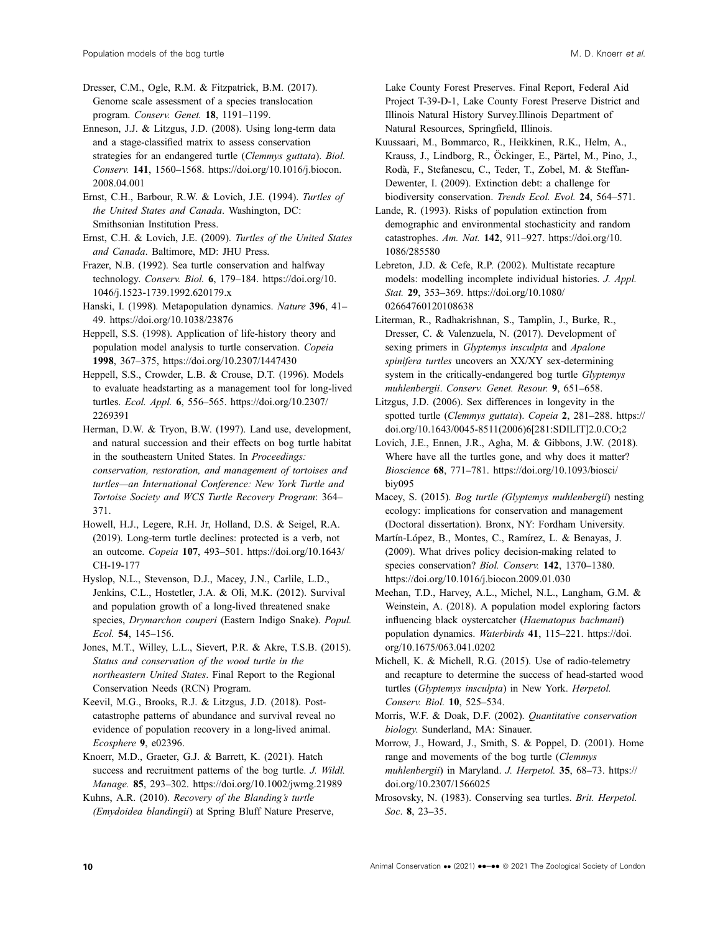Dresser, C.M., Ogle, R.M. & Fitzpatrick, B.M. (2017). Genome scale assessment of a species translocation program. Conserv. Genet. 18, 1191–1199.

Enneson, J.J. & Litzgus, J.D. (2008). Using long-term data and a stage-classified matrix to assess conservation strategies for an endangered turtle (Clemmys guttata). Biol. Conserv. 141, 1560–1568. [https://doi.org/10.1016/j.biocon.](https://doi.org/10.1016/j.biocon.2008.04.001) [2008.04.001](https://doi.org/10.1016/j.biocon.2008.04.001)

Ernst, C.H., Barbour, R.W. & Lovich, J.E. (1994). Turtles of the United States and Canada. Washington, DC: Smithsonian Institution Press.

Ernst, C.H. & Lovich, J.E. (2009). Turtles of the United States and Canada. Baltimore, MD: JHU Press.

Frazer, N.B. (1992). Sea turtle conservation and halfway technology. Conserv. Biol. 6, 179–184. [https://doi.org/10.](https://doi.org/10.1046/j.1523-1739.1992.620179.x) [1046/j.1523-1739.1992.620179.x](https://doi.org/10.1046/j.1523-1739.1992.620179.x)

Hanski, I. (1998). Metapopulation dynamics. Nature 396, 41– 49.<https://doi.org/10.1038/23876>

Heppell, S.S. (1998). Application of life-history theory and population model analysis to turtle conservation. Copeia 1998, 367–375,<https://doi.org/10.2307/1447430>

Heppell, S.S., Crowder, L.B. & Crouse, D.T. (1996). Models to evaluate headstarting as a management tool for long-lived turtles. Ecol. Appl. 6, 556–565. [https://doi.org/10.2307/](https://doi.org/10.2307/2269391) [2269391](https://doi.org/10.2307/2269391)

Herman, D.W. & Tryon, B.W. (1997). Land use, development, and natural succession and their effects on bog turtle habitat in the southeastern United States. In Proceedings: conservation, restoration, and management of tortoises and turtles—an International Conference: New York Turtle and Tortoise Society and WCS Turtle Recovery Program: 364– 371.

Howell, H.J., Legere, R.H. Jr, Holland, D.S. & Seigel, R.A. (2019). Long-term turtle declines: protected is a verb, not an outcome. Copeia 107, 493–501. [https://doi.org/10.1643/](https://doi.org/10.1643/CH-19-177) [CH-19-177](https://doi.org/10.1643/CH-19-177)

Hyslop, N.L., Stevenson, D.J., Macey, J.N., Carlile, L.D., Jenkins, C.L., Hostetler, J.A. & Oli, M.K. (2012). Survival and population growth of a long-lived threatened snake species, Drymarchon couperi (Eastern Indigo Snake). Popul. Ecol. 54, 145–156.

Jones, M.T., Willey, L.L., Sievert, P.R. & Akre, T.S.B. (2015). Status and conservation of the wood turtle in the northeastern United States. Final Report to the Regional Conservation Needs (RCN) Program.

Keevil, M.G., Brooks, R.J. & Litzgus, J.D. (2018). Postcatastrophe patterns of abundance and survival reveal no evidence of population recovery in a long-lived animal. Ecosphere 9, e02396.

Knoerr, M.D., Graeter, G.J. & Barrett, K. (2021). Hatch success and recruitment patterns of the bog turtle. J. Wildl. Manage. 85, 293–302.<https://doi.org/10.1002/jwmg.21989>

Kuhns, A.R. (2010). Recovery of the Blanding's turtle (Emydoidea blandingii) at Spring Bluff Nature Preserve, Lake County Forest Preserves. Final Report, Federal Aid Project T-39-D-1, Lake County Forest Preserve District and Illinois Natural History Survey.Illinois Department of Natural Resources, Springfield, Illinois.

Kuussaari, M., Bommarco, R., Heikkinen, R.K., Helm, A., Krauss, J., Lindborg, R., Öckinger, E., Pärtel, M., Pino, J., Roda, F., Stefanescu, C., Teder, T., Zobel, M. & Steffan- ` Dewenter, I. (2009). Extinction debt: a challenge for biodiversity conservation. Trends Ecol. Evol. 24, 564–571.

Lande, R. (1993). Risks of population extinction from demographic and environmental stochasticity and random catastrophes. Am. Nat. 142, 911–927. [https://doi.org/10.](https://doi.org/10.1086/285580) [1086/285580](https://doi.org/10.1086/285580)

Lebreton, J.D. & Cefe, R.P. (2002). Multistate recapture models: modelling incomplete individual histories. J. Appl. Stat. 29, 353–369. [https://doi.org/10.1080/](https://doi.org/10.1080/02664760120108638) [02664760120108638](https://doi.org/10.1080/02664760120108638)

Literman, R., Radhakrishnan, S., Tamplin, J., Burke, R., Dresser, C. & Valenzuela, N. (2017). Development of sexing primers in Glyptemys insculpta and Apalone spinifera turtles uncovers an XX/XY sex-determining system in the critically-endangered bog turtle Glyptemys muhlenbergii. Conserv. Genet. Resour. 9, 651–658.

Litzgus, J.D. (2006). Sex differences in longevity in the spotted turtle (Clemmys guttata). Copeia 2, 281–288. [https://](https://doi.org/10.1643/0045-8511(2006)6%5B281:SDILIT%5D2.0.CO;2) [doi.org/10.1643/0045-8511\(2006\)6\[281:SDILIT\]2.0.CO;2](https://doi.org/10.1643/0045-8511(2006)6%5B281:SDILIT%5D2.0.CO;2)

Lovich, J.E., Ennen, J.R., Agha, M. & Gibbons, J.W. (2018). Where have all the turtles gone, and why does it matter? Bioscience 68, 771–781. [https://doi.org/10.1093/biosci/](https://doi.org/10.1093/biosci/biy095) [biy095](https://doi.org/10.1093/biosci/biy095)

Macey, S. (2015). Bog turtle (Glyptemys muhlenbergii) nesting ecology: implications for conservation and management (Doctoral dissertation). Bronx, NY: Fordham University.

Martín-López, B., Montes, C., Ramírez, L. & Benayas, J. (2009). What drives policy decision-making related to species conservation? Biol. Conserv. 142, 1370-1380. <https://doi.org/10.1016/j.biocon.2009.01.030>

Meehan, T.D., Harvey, A.L., Michel, N.L., Langham, G.M. & Weinstein, A. (2018). A population model exploring factors influencing black oystercatcher (Haematopus bachmani) population dynamics. Waterbirds 41, 115–221. [https://doi.](https://doi.org/10.1675/063.041.0202) [org/10.1675/063.041.0202](https://doi.org/10.1675/063.041.0202)

Michell, K. & Michell, R.G. (2015). Use of radio-telemetry and recapture to determine the success of head-started wood turtles (Glyptemys insculpta) in New York. Herpetol. Conserv. Biol. 10, 525–534.

Morris, W.F. & Doak, D.F. (2002). Quantitative conservation biology. Sunderland, MA: Sinauer.

Morrow, J., Howard, J., Smith, S. & Poppel, D. (2001). Home range and movements of the bog turtle (Clemmys muhlenbergii) in Maryland. J. Herpetol. 35, 68–73. [https://](https://doi.org/10.2307/1566025) [doi.org/10.2307/1566025](https://doi.org/10.2307/1566025)

Mrosovsky, N. (1983). Conserving sea turtles. Brit. Herpetol. Soc. 8, 23–35.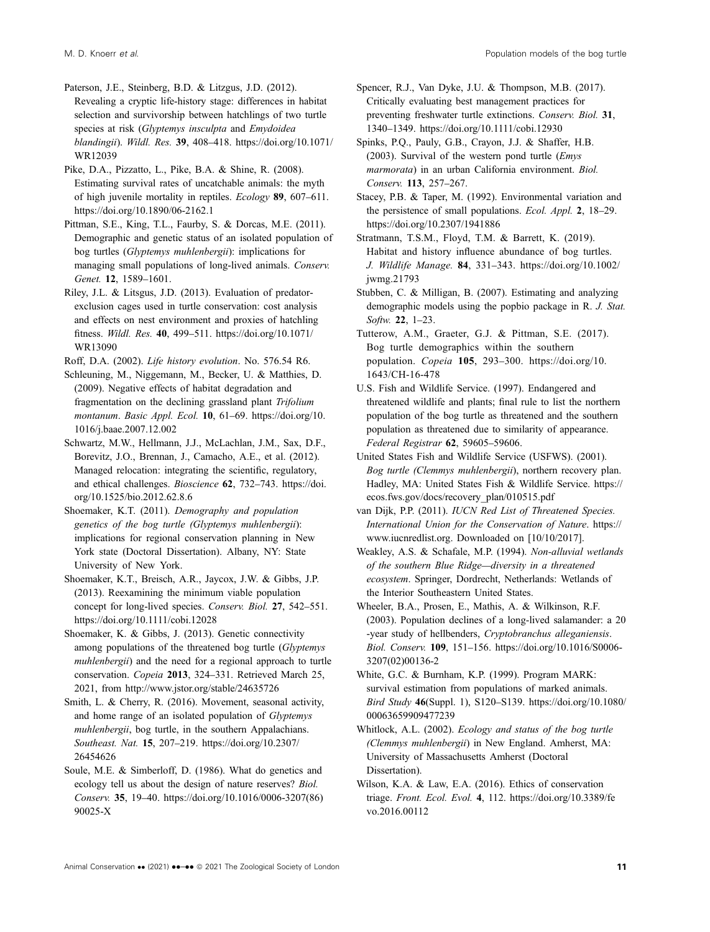Paterson, J.E., Steinberg, B.D. & Litzgus, J.D. (2012). Revealing a cryptic life-history stage: differences in habitat selection and survivorship between hatchlings of two turtle species at risk (Glyptemys insculpta and Emydoidea blandingii). Wildl. Res. 39, 408–418. [https://doi.org/10.1071/](https://doi.org/10.1071/WR12039) [WR12039](https://doi.org/10.1071/WR12039)

Pike, D.A., Pizzatto, L., Pike, B.A. & Shine, R. (2008). Estimating survival rates of uncatchable animals: the myth of high juvenile mortality in reptiles. Ecology 89, 607–611. <https://doi.org/10.1890/06-2162.1>

Pittman, S.E., King, T.L., Faurby, S. & Dorcas, M.E. (2011). Demographic and genetic status of an isolated population of bog turtles (Glyptemys muhlenbergii): implications for managing small populations of long-lived animals. Conserv. Genet. 12, 1589–1601.

Riley, J.L. & Litsgus, J.D. (2013). Evaluation of predatorexclusion cages used in turtle conservation: cost analysis and effects on nest environment and proxies of hatchling fitness. Wildl. Res. 40, 499–511. [https://doi.org/10.1071/](https://doi.org/10.1071/WR13090) [WR13090](https://doi.org/10.1071/WR13090)

Roff, D.A. (2002). Life history evolution. No. 576.54 R6.

Schleuning, M., Niggemann, M., Becker, U. & Matthies, D. (2009). Negative effects of habitat degradation and fragmentation on the declining grassland plant Trifolium montanum. Basic Appl. Ecol. 10, 61–69. [https://doi.org/10.](https://doi.org/10.1016/j.baae.2007.12.002) [1016/j.baae.2007.12.002](https://doi.org/10.1016/j.baae.2007.12.002)

Schwartz, M.W., Hellmann, J.J., McLachlan, J.M., Sax, D.F., Borevitz, J.O., Brennan, J., Camacho, A.E., et al. (2012). Managed relocation: integrating the scientific, regulatory, and ethical challenges. Bioscience 62, 732–743. [https://doi.](https://doi.org/10.1525/bio.2012.62.8.6) [org/10.1525/bio.2012.62.8.6](https://doi.org/10.1525/bio.2012.62.8.6)

Shoemaker, K.T. (2011). Demography and population genetics of the bog turtle (Glyptemys muhlenbergii): implications for regional conservation planning in New York state (Doctoral Dissertation). Albany, NY: State University of New York.

Shoemaker, K.T., Breisch, A.R., Jaycox, J.W. & Gibbs, J.P. (2013). Reexamining the minimum viable population concept for long-lived species. Conserv. Biol. 27, 542–551. <https://doi.org/10.1111/cobi.12028>

Shoemaker, K. & Gibbs, J. (2013). Genetic connectivity among populations of the threatened bog turtle (Glyptemys muhlenbergii) and the need for a regional approach to turtle conservation. Copeia 2013, 324–331. Retrieved March 25, 2021, from<http://www.jstor.org/stable/24635726>

Smith, L. & Cherry, R. (2016). Movement, seasonal activity, and home range of an isolated population of Glyptemys muhlenbergii, bog turtle, in the southern Appalachians. Southeast. Nat. 15, 207–219. [https://doi.org/10.2307/](https://doi.org/10.2307/26454626) [26454626](https://doi.org/10.2307/26454626)

Soule, M.E. & Simberloff, D. (1986). What do genetics and ecology tell us about the design of nature reserves? Biol. Conserv. 35, 19–40. [https://doi.org/10.1016/0006-3207\(86\)](https://doi.org/10.1016/0006-3207(86)90025-X) [90025-X](https://doi.org/10.1016/0006-3207(86)90025-X)

Spencer, R.J., Van Dyke, J.U. & Thompson, M.B. (2017). Critically evaluating best management practices for preventing freshwater turtle extinctions. Conserv. Biol. 31, 1340–1349.<https://doi.org/10.1111/cobi.12930>

Spinks, P.Q., Pauly, G.B., Crayon, J.J. & Shaffer, H.B. (2003). Survival of the western pond turtle  $\langle Emys$ marmorata) in an urban California environment. Biol. Conserv. 113, 257–267.

Stacey, P.B. & Taper, M. (1992). Environmental variation and the persistence of small populations. Ecol. Appl. 2, 18–29. <https://doi.org/10.2307/1941886>

Stratmann, T.S.M., Floyd, T.M. & Barrett, K. (2019). Habitat and history influence abundance of bog turtles. J. Wildlife Manage. 84, 331–343. [https://doi.org/10.1002/](https://doi.org/10.1002/jwmg.21793) [jwmg.21793](https://doi.org/10.1002/jwmg.21793)

Stubben, C. & Milligan, B. (2007). Estimating and analyzing demographic models using the popbio package in R. J. Stat. Softw. 22, 1–23.

Tutterow, A.M., Graeter, G.J. & Pittman, S.E. (2017). Bog turtle demographics within the southern population. Copeia 105, 293–300. [https://doi.org/10.](https://doi.org/10.1643/CH-16-478) [1643/CH-16-478](https://doi.org/10.1643/CH-16-478)

U.S. Fish and Wildlife Service. (1997). Endangered and threatened wildlife and plants; final rule to list the northern population of the bog turtle as threatened and the southern population as threatened due to similarity of appearance. Federal Registrar 62, 59605–59606.

United States Fish and Wildlife Service (USFWS). (2001). Bog turtle (Clemmys muhlenbergii), northern recovery plan. Hadley, MA: United States Fish & Wildlife Service. [https://](https://ecos.fws.gov/docs/recovery_plan/010515.pdf) [ecos.fws.gov/docs/recovery\\_plan/010515.pdf](https://ecos.fws.gov/docs/recovery_plan/010515.pdf)

van Dijk, P.P. (2011). IUCN Red List of Threatened Species. International Union for the Conservation of Nature. [https://](https://www.iucnredlist.org) [www.iucnredlist.org.](https://www.iucnredlist.org) Downloaded on [10/10/2017].

Weakley, A.S. & Schafale, M.P. (1994). Non-alluvial wetlands of the southern Blue Ridge—diversity in a threatened ecosystem. Springer, Dordrecht, Netherlands: Wetlands of the Interior Southeastern United States.

Wheeler, B.A., Prosen, E., Mathis, A. & Wilkinson, R.F. (2003). Population declines of a long-lived salamander: a 20 -year study of hellbenders, Cryptobranchus alleganiensis. Biol. Conserv. 109, 151–156. [https://doi.org/10.1016/S0006-](https://doi.org/10.1016/S0006-3207(02)00136-2) [3207\(02\)00136-2](https://doi.org/10.1016/S0006-3207(02)00136-2)

White, G.C. & Burnham, K.P. (1999). Program MARK: survival estimation from populations of marked animals. Bird Study 46(Suppl. 1), S120–S139. [https://doi.org/10.1080/](https://doi.org/10.1080/00063659909477239) [00063659909477239](https://doi.org/10.1080/00063659909477239)

Whitlock, A.L. (2002). Ecology and status of the bog turtle (Clemmys muhlenbergii) in New England. Amherst, MA: University of Massachusetts Amherst (Doctoral Dissertation).

Wilson, K.A. & Law, E.A. (2016). Ethics of conservation triage. Front. Ecol. Evol. 4, 112. [https://doi.org/10.3389/fe](https://doi.org/10.3389/fevo.2016.00112) [vo.2016.00112](https://doi.org/10.3389/fevo.2016.00112)